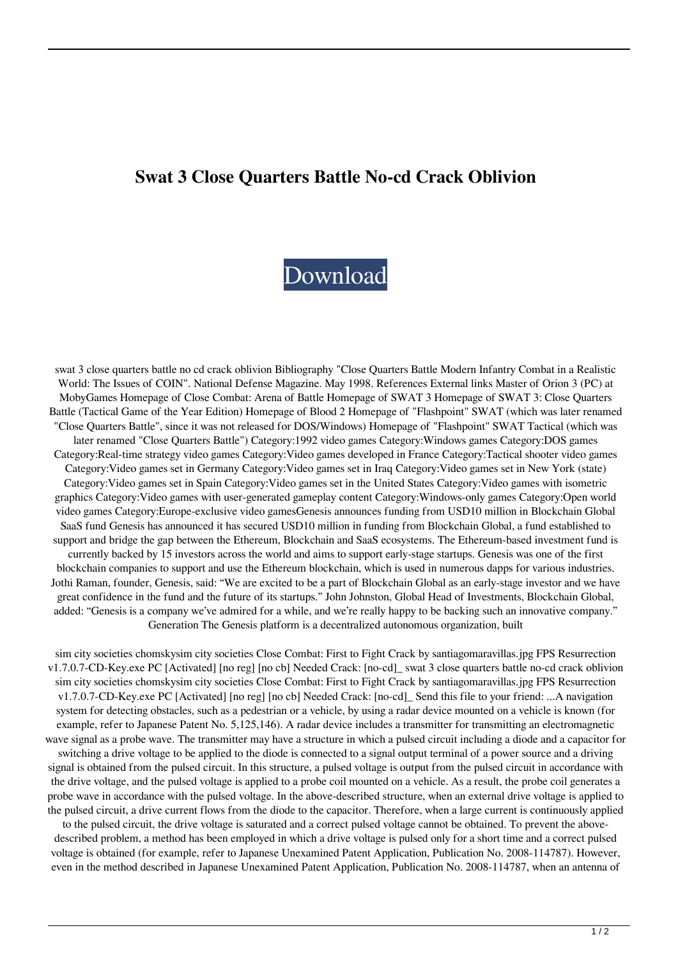## **Swat 3 Close Quarters Battle No-cd Crack Oblivion**

## [Download](http://evacdir.com/semi/goods/areolae/metabolite/pimp/pluck/sequester=ZG93bmxvYWR8SHYzTWpZNWQzeDhNVFkxTWpjME1EZzJObng4TWpVM05IeDhLRTBwSUhKbFlXUXRZbXh2WnlCYlJtRnpkQ0JIUlU1ZA.c3dhdCAzIGNsb3NlIHF1YXJ0ZXJzIGJhdHRsZSBuby1jZCBjcmFjayBvYmxpdmlvbgc3d)

swat 3 close quarters battle no cd crack oblivion Bibliography "Close Quarters Battle Modern Infantry Combat in a Realistic World: The Issues of COIN". National Defense Magazine. May 1998. References External links Master of Orion 3 (PC) at MobyGames Homepage of Close Combat: Arena of Battle Homepage of SWAT 3 Homepage of SWAT 3: Close Quarters Battle (Tactical Game of the Year Edition) Homepage of Blood 2 Homepage of "Flashpoint" SWAT (which was later renamed "Close Quarters Battle", since it was not released for DOS/Windows) Homepage of "Flashpoint" SWAT Tactical (which was later renamed "Close Quarters Battle") Category:1992 video games Category:Windows games Category:DOS games Category:Real-time strategy video games Category:Video games developed in France Category:Tactical shooter video games Category:Video games set in Germany Category:Video games set in Iraq Category:Video games set in New York (state) Category:Video games set in Spain Category:Video games set in the United States Category:Video games with isometric graphics Category:Video games with user-generated gameplay content Category:Windows-only games Category:Open world video games Category:Europe-exclusive video gamesGenesis announces funding from USD10 million in Blockchain Global SaaS fund Genesis has announced it has secured USD10 million in funding from Blockchain Global, a fund established to support and bridge the gap between the Ethereum, Blockchain and SaaS ecosystems. The Ethereum-based investment fund is currently backed by 15 investors across the world and aims to support early-stage startups. Genesis was one of the first blockchain companies to support and use the Ethereum blockchain, which is used in numerous dapps for various industries. Jothi Raman, founder, Genesis, said: "We are excited to be a part of Blockchain Global as an early-stage investor and we have great confidence in the fund and the future of its startups." John Johnston, Global Head of Investments, Blockchain Global, added: "Genesis is a company we've admired for a while, and we're really happy to be backing such an innovative company." Generation The Genesis platform is a decentralized autonomous organization, built

sim city societies chomskysim city societies Close Combat: First to Fight Crack by santiagomaravillas.jpg FPS Resurrection v1.7.0.7-CD-Key.exe PC [Activated] [no reg] [no cb] Needed Crack: [no-cd]\_ swat 3 close quarters battle no-cd crack oblivion sim city societies chomskysim city societies Close Combat: First to Fight Crack by santiagomaravillas.jpg FPS Resurrection v1.7.0.7-CD-Key.exe PC [Activated] [no reg] [no cb] Needed Crack: [no-cd]\_ Send this file to your friend: ...A navigation system for detecting obstacles, such as a pedestrian or a vehicle, by using a radar device mounted on a vehicle is known (for example, refer to Japanese Patent No. 5,125,146). A radar device includes a transmitter for transmitting an electromagnetic wave signal as a probe wave. The transmitter may have a structure in which a pulsed circuit including a diode and a capacitor for switching a drive voltage to be applied to the diode is connected to a signal output terminal of a power source and a driving signal is obtained from the pulsed circuit. In this structure, a pulsed voltage is output from the pulsed circuit in accordance with the drive voltage, and the pulsed voltage is applied to a probe coil mounted on a vehicle. As a result, the probe coil generates a probe wave in accordance with the pulsed voltage. In the above-described structure, when an external drive voltage is applied to the pulsed circuit, a drive current flows from the diode to the capacitor. Therefore, when a large current is continuously applied

to the pulsed circuit, the drive voltage is saturated and a correct pulsed voltage cannot be obtained. To prevent the abovedescribed problem, a method has been employed in which a drive voltage is pulsed only for a short time and a correct pulsed voltage is obtained (for example, refer to Japanese Unexamined Patent Application, Publication No. 2008-114787). However, even in the method described in Japanese Unexamined Patent Application, Publication No. 2008-114787, when an antenna of